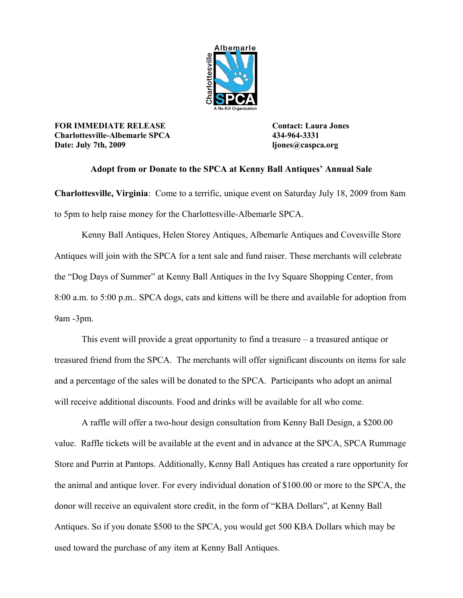

**FOR IMMEDIATE RELEASE Contact: Laura Jones Charlottesville-Albemarle SPCA 434-964-3331 Date: July 7th, 2009 ljones@caspca.org**

## **Adopt from or Donate to the SPCA at Kenny Ball Antiques' Annual Sale**

**Charlottesville, Virginia**: Come to a terrific, unique event on Saturday July 18, 2009 from 8am to 5pm to help raise money for the Charlottesville-Albemarle SPCA.

Kenny Ball Antiques, Helen Storey Antiques, Albemarle Antiques and Covesville Store Antiques will join with the SPCA for a tent sale and fund raiser. These merchants will celebrate the "Dog Days of Summer" at Kenny Ball Antiques in the Ivy Square Shopping Center, from 8:00 a.m. to 5:00 p.m.. SPCA dogs, cats and kittens will be there and available for adoption from 9am -3pm.

This event will provide a great opportunity to find a treasure – a treasured antique or treasured friend from the SPCA. The merchants will offer significant discounts on items for sale and a percentage of the sales will be donated to the SPCA. Participants who adopt an animal will receive additional discounts. Food and drinks will be available for all who come.

A raffle will offer a two-hour design consultation from Kenny Ball Design, a \$200.00 value. Raffle tickets will be available at the event and in advance at the SPCA, SPCA Rummage Store and Purrin at Pantops. Additionally, Kenny Ball Antiques has created a rare opportunity for the animal and antique lover. For every individual donation of \$100.00 or more to the SPCA, the donor will receive an equivalent store credit, in the form of "KBA Dollars", at Kenny Ball Antiques. So if you donate \$500 to the SPCA, you would get 500 KBA Dollars which may be used toward the purchase of any item at Kenny Ball Antiques.